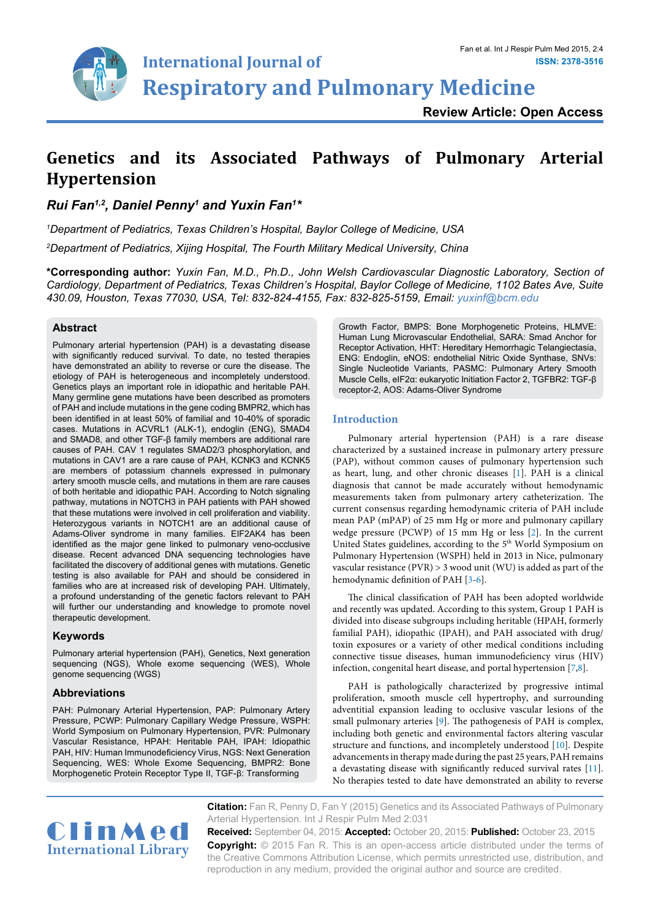

**Respiratory and Pulmonary Medicine**

# **Genetics and its Associated Pathways of Pulmonary Arterial Hypertension**

*Rui Fan1,2, Daniel Penny1 and Yuxin Fan1 \**

*1 Department of Pediatrics, Texas Children's Hospital, Baylor College of Medicine, USA 2 Department of Pediatrics, Xijing Hospital, The Fourth Military Medical University, China*

**International Journal of**

**\*Corresponding author:** *Yuxin Fan, M.D., Ph.D., John Welsh Cardiovascular Diagnostic Laboratory, Section of Cardiology, Department of Pediatrics, Texas Children's Hospital, Baylor College of Medicine, 1102 Bates Ave, Suite 430.09, Houston, Texas 77030, USA, Tel: 832-824-4155, Fax: 832-825-5159, Email: yuxinf@bcm.edu*

# **Abstract**

Pulmonary arterial hypertension (PAH) is a devastating disease with significantly reduced survival. To date, no tested therapies have demonstrated an ability to reverse or cure the disease. The etiology of PAH is heterogeneous and incompletely understood. Genetics plays an important role in idiopathic and heritable PAH. Many germline gene mutations have been described as promoters of PAH and include mutations in the gene coding BMPR2, which has been identified in at least 50% of familial and 10-40% of sporadic cases. Mutations in ACVRL1 (ALK-1), endoglin (ENG), SMAD4 and SMAD8, and other TGF-β family members are additional rare causes of PAH. CAV 1 regulates SMAD2/3 phosphorylation, and mutations in CAV1 are a rare cause of PAH, KCNK3 and KCNK5 are members of potassium channels expressed in pulmonary artery smooth muscle cells, and mutations in them are rare causes of both heritable and idiopathic PAH. According to Notch signaling pathway, mutations in NOTCH3 in PAH patients with PAH showed that these mutations were involved in cell proliferation and viability. Heterozygous variants in NOTCH1 are an additional cause of Adams-Oliver syndrome in many families. EIF2AK4 has been identified as the major gene linked to pulmonary veno-occlusive disease. Recent advanced DNA sequencing technologies have facilitated the discovery of additional genes with mutations. Genetic testing is also available for PAH and should be considered in families who are at increased risk of developing PAH. Ultimately, a profound understanding of the genetic factors relevant to PAH will further our understanding and knowledge to promote novel therapeutic development.

# **Keywords**

Pulmonary arterial hypertension (PAH), Genetics, Next generation sequencing (NGS), Whole exome sequencing (WES), Whole genome sequencing (WGS)

# **Abbreviations**

PAH: Pulmonary Arterial Hypertension, PAP: Pulmonary Artery Pressure, PCWP: Pulmonary Capillary Wedge Pressure, WSPH: World Symposium on Pulmonary Hypertension, PVR: Pulmonary Vascular Resistance, HPAH: Heritable PAH, IPAH: Idiopathic PAH, HIV: Human Immunodeficiency Virus, NGS: Next Generation Sequencing, WES: Whole Exome Sequencing, BMPR2: Bone Morphogenetic Protein Receptor Type II, TGF-β: Transforming

Growth Factor, BMPS: Bone Morphogenetic Proteins, HLMVE: Human Lung Microvascular Endothelial, SARA: Smad Anchor for Receptor Activation, HHT: Hereditary Hemorrhagic Telangiectasia, ENG: Endoglin, eNOS: endothelial Nitric Oxide Synthase, SNVs: Single Nucleotide Variants, PASMC: Pulmonary Artery Smooth Muscle Cells, eIF2α: eukaryotic Initiation Factor 2, TGFBR2: TGF-β receptor-2, AOS: Adams-Oliver Syndrome

# **Introduction**

Pulmonary arterial hypertension (PAH) is a rare disease characterized by a sustained increase in pulmonary artery pressure (PAP), without common causes of pulmonary hypertension such as heart, lung, and other chronic diseases [[1](#page-5-0)]. PAH is a clinical diagnosis that cannot be made accurately without hemodynamic measurements taken from pulmonary artery catheterization. The current consensus regarding hemodynamic criteria of PAH include mean PAP (mPAP) of 25 mm Hg or more and pulmonary capillary wedge pressure (PCWP) of 15 mm Hg or less [\[2\]](#page-6-0). In the current United States guidelines, according to the 5<sup>th</sup> World Symposium on Pulmonary Hypertension (WSPH) held in 2013 in Nice, pulmonary vascular resistance (PVR) > 3 wood unit (WU) is added as part of the hemodynamic definition of PAH [[3](#page-6-1)[-6\]](#page-6-2).

The clinical classification of PAH has been adopted worldwide and recently was updated. According to this system, Group 1 PAH is divided into disease subgroups including heritable (HPAH, formerly familial PAH), idiopathic (IPAH), and PAH associated with drug/ toxin exposures or a variety of other medical conditions including connective tissue diseases, human immunodeficiency virus (HIV) infection, congenital heart disease, and portal hypertension [\[7](#page-6-3)[,8\]](#page-6-4).

PAH is pathologically characterized by progressive intimal proliferation, smooth muscle cell hypertrophy, and surrounding adventitial expansion leading to occlusive vascular lesions of the small pulmonary arteries [\[9\]](#page-6-5). The pathogenesis of PAH is complex, including both genetic and environmental factors altering vascular structure and functions, and incompletely understood [[10](#page-6-6)]. Despite advancements in therapy made during the past 25 years, PAH remains a devastating disease with significantly reduced survival rates [[11\]](#page-6-7). No therapies tested to date have demonstrated an ability to reverse

**Citation:** Fan R, Penny D, Fan Y (2015) Genetics and its Associated Pathways of Pulmonary Arterial Hypertension. Int J Respir Pulm Med 2:031



**Received:** September 04, 2015: **Accepted:** October 20, 2015: **Published:** October 23, 2015 **Copyright:** © 2015 Fan R. This is an open-access article distributed under the terms of the Creative Commons Attribution License, which permits unrestricted use, distribution, and reproduction in any medium, provided the original author and source are credited.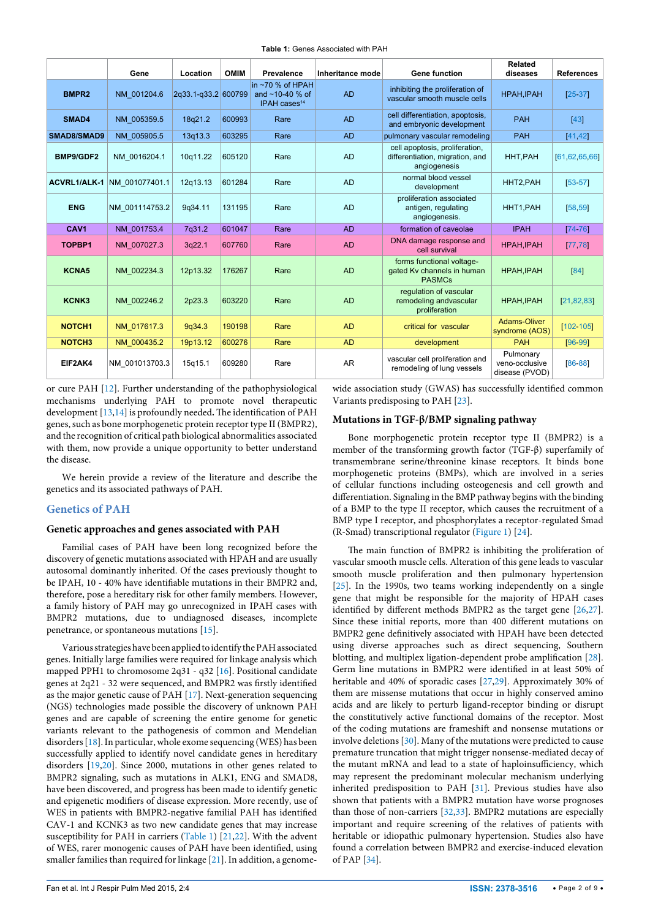**Table 1:** Genes Associated with PAH

|                     | Gene           | Location            | <b>OMIM</b> | Prevalence                                                           | Inheritance mode | <b>Gene function</b>                                                              | Related<br>diseases                           | <b>References</b> |
|---------------------|----------------|---------------------|-------------|----------------------------------------------------------------------|------------------|-----------------------------------------------------------------------------------|-----------------------------------------------|-------------------|
| BMPR <sub>2</sub>   | NM 001204.6    | 2g33.1-g33.2 600799 |             | in $~270$ % of HPAH<br>and $~10-40$ % of<br>IPAH cases <sup>14</sup> | <b>AD</b>        | inhibiting the proliferation of<br>vascular smooth muscle cells                   | HPAH, IPAH                                    | $[25-37]$         |
| SMAD4               | NM 005359.5    | 18q21.2             | 600993      | Rare                                                                 | <b>AD</b>        | cell differentiation, apoptosis,<br>and embryonic development                     | <b>PAH</b>                                    | [43]              |
| SMAD8/SMAD9         | NM 005905.5    | 13q13.3             | 603295      | Rare                                                                 | <b>AD</b>        | pulmonary vascular remodeling                                                     | <b>PAH</b>                                    | [41, 42]          |
| BMP9/GDF2           | NM 0016204.1   | 10g11.22            | 605120      | Rare                                                                 | <b>AD</b>        | cell apoptosis, proliferation,<br>differentiation, migration, and<br>angiogenesis | HHT, PAH                                      | [61, 62, 65, 66]  |
| <b>ACVRL1/ALK-1</b> | NM 001077401.1 | 12g13.13            | 601284      | Rare                                                                 | <b>AD</b>        | normal blood vessel<br>development                                                | HHT2, PAH                                     | $[53 - 57]$       |
| <b>ENG</b>          | NM 001114753.2 | 9q34.11             | 131195      | Rare                                                                 | <b>AD</b>        | proliferation associated<br>antigen, regulating<br>angiogenesis.                  | HHT1.PAH                                      | [58, 59]          |
| CAV <sub>1</sub>    | NM 001753.4    | 7q31.2              | 601047      | Rare                                                                 | <b>AD</b>        | formation of caveolae                                                             | <b>IPAH</b>                                   | [74.76]           |
| TOPBP1              | NM 007027.3    | 3q22.1              | 607760      | Rare                                                                 | <b>AD</b>        | DNA damage response and<br>cell survival                                          | HPAH, IPAH                                    | [77, 78]          |
| <b>KCNA5</b>        | NM 002234.3    | 12p13.32            | 176267      | Rare                                                                 | <b>AD</b>        | forms functional voltage-<br>gated Kv channels in human<br><b>PASMCs</b>          | HPAH, IPAH                                    | [84]              |
| KCNK3               | NM 002246.2    | 2p23.3              | 603220      | Rare                                                                 | <b>AD</b>        | regulation of vascular<br>remodeling andvascular<br>proliferation                 | HPAH, IPAH                                    | [21, 82, 83]      |
| NOTCH <sub>1</sub>  | NM 017617.3    | 9q34.3              | 190198      | Rare                                                                 | <b>AD</b>        | critical for vascular                                                             | <b>Adams-Oliver</b><br>syndrome (AOS)         | $[102 - 105]$     |
| NOTCH <sub>3</sub>  | NM 000435.2    | 19p13.12            | 600276      | Rare                                                                 | <b>AD</b>        | development                                                                       | <b>PAH</b>                                    | $[96 - 99]$       |
| EIF2AK4             | NM 001013703.3 | 15g15.1             | 609280      | Rare                                                                 | <b>AR</b>        | vascular cell proliferation and<br>remodeling of lung vessels                     | Pulmonary<br>veno-occlusive<br>disease (PVOD) | $[86 - 88]$       |

or cure PAH [[12](#page-6-8)]. Further understanding of the pathophysiological mechanisms underlying PAH to promote novel therapeutic development [\[13](#page-6-9)[,14\]](#page-6-10) is profoundly needed**.** The identification of PAH genes, such as bone morphogenetic protein receptor type II (BMPR2), and the recognition of critical path biological abnormalities associated with them, now provide a unique opportunity to better understand the disease.

We herein provide a review of the literature and describe the genetics and its associated pathways of PAH.

# **Genetics of PAH**

#### **Genetic approaches and genes associated with PAH**

Familial cases of PAH have been long recognized before the discovery of genetic mutations associated with HPAH and are usually autosomal dominantly inherited. Of the cases previously thought to be IPAH, 10 - 40% have identifiable mutations in their BMPR2 and, therefore, pose a hereditary risk for other family members. However, a family history of PAH may go unrecognized in IPAH cases with BMPR2 mutations, due to undiagnosed diseases, incomplete penetrance, or spontaneous mutations [\[15\]](#page-6-11).

Various strategies have been applied to identify the PAH associated genes. Initially large families were required for linkage analysis which mapped PPH1 to chromosome 2q31 - q32 [[16\]](#page-6-12). Positional candidate genes at 2q21 - 32 were sequenced, and BMPR2 was firstly identified as the major genetic cause of PAH [\[17\]](#page-6-13). Next-generation sequencing (NGS) technologies made possible the discovery of unknown PAH genes and are capable of screening the entire genome for genetic variants relevant to the pathogenesis of common and Mendelian disorders [[18](#page-6-14)]. In particular, whole exome sequencing (WES) has been successfully applied to identify novel candidate genes in hereditary disorders [[19,](#page-6-15)[20](#page-6-16)]. Since 2000, mutations in other genes related to BMPR2 signaling, such as mutations in ALK1, ENG and SMAD8, have been discovered, and progress has been made to identify genetic and epigenetic modifiers of disease expression. More recently, use of WES in patients with BMPR2-negative familial PAH has identified CAV-1 and KCNK3 as two new candidate genes that may increase susceptibility for PAH in carriers (Table 1) [\[21,](#page-6-17)[22\]](#page-6-18). With the advent of WES, rarer monogenic causes of PAH have been identified, using smaller families than required for linkage [[21](#page-6-17)]. In addition, a genomewide association study (GWAS) has successfully identified common Variants predisposing to PAH [[23\]](#page-6-19).

## **Mutations in TGF-β/BMP signaling pathway**

Bone morphogenetic protein receptor type II (BMPR2) is a member of the transforming growth factor (TGF-β) superfamily of transmembrane serine/threonine kinase receptors. It binds bone morphogenetic proteins (BMPs), which are involved in a series of cellular functions including osteogenesis and cell growth and differentiation. Signaling in the BMP pathway begins with the binding of a BMP to the type II receptor, which causes the recruitment of a BMP type I receptor, and phosphorylates a receptor-regulated Smad (R-Smad) transcriptional regulator ([Figure 1\)](#page-2-0) [[24](#page-6-20)].

The main function of BMPR2 is inhibiting the proliferation of vascular smooth muscle cells. Alteration of this gene leads to vascular smooth muscle proliferation and then pulmonary hypertension [[25](#page-6-21)]. In the 1990s, two teams working independently on a single gene that might be responsible for the majority of HPAH cases identified by different methods BMPR2 as the target gene [\[26,](#page-6-22)[27\]](#page-6-23). Since these initial reports, more than 400 different mutations on BMPR2 gene definitively associated with HPAH have been detected using diverse approaches such as direct sequencing, Southern blotting, and multiplex ligation-dependent probe amplification [[28\]](#page-6-24). Germ line mutations in BMPR2 were identified in at least 50% of heritable and 40% of sporadic cases [\[27](#page-6-23)[,29\]](#page-6-25). Approximately 30% of them are missense mutations that occur in highly conserved amino acids and are likely to perturb ligand-receptor binding or disrupt the constitutively active functional domains of the receptor. Most of the coding mutations are frameshift and nonsense mutations or involve deletions [\[30\]](#page-6-26). Many of the mutations were predicted to cause premature truncation that might trigger nonsense-mediated decay of the mutant mRNA and lead to a state of haploinsufficiency, which may represent the predominant molecular mechanism underlying inherited predisposition to PAH [[31\]](#page-6-27). Previous studies have also shown that patients with a BMPR2 mutation have worse prognoses than those of non-carriers [[32](#page-6-28)[,33\]](#page-6-29). BMPR2 mutations are especially important and require screening of the relatives of patients with heritable or idiopathic pulmonary hypertension. Studies also have found a correlation between BMPR2 and exercise-induced elevation of PAP [[34](#page-6-30)].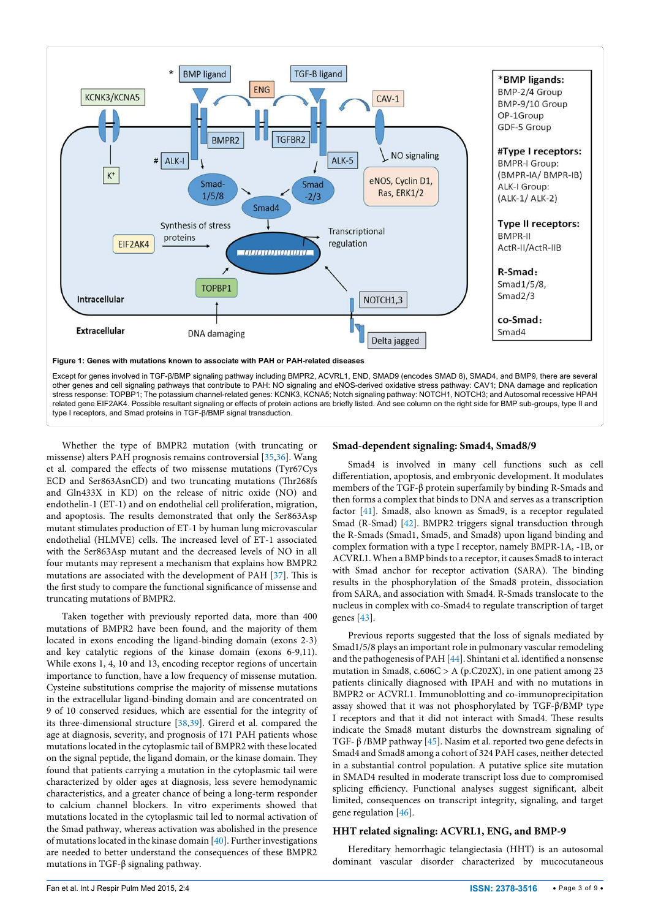<span id="page-2-0"></span>

Whether the type of BMPR2 mutation (with truncating or missense) alters PAH prognosis remains controversial [\[35,](#page-6-35)[36\]](#page-6-36). Wang et al. compared the effects of two missense mutations (Tyr67Cys ECD and Ser863AsnCD) and two truncating mutations (Thr268fs and Gln433X in KD) on the release of nitric oxide (NO) and endothelin-1 (ET-1) and on endothelial cell proliferation, migration, and apoptosis. The results demonstrated that only the Ser863Asp mutant stimulates production of ET-1 by human lung microvascular endothelial (HLMVE) cells. The increased level of ET-1 associated with the Ser863Asp mutant and the decreased levels of NO in all four mutants may represent a mechanism that explains how BMPR2 mutations are associated with the development of PAH [[37](#page-6-31)]. This is the first study to compare the functional significance of missense and truncating mutations of BMPR2.

Taken together with previously reported data, more than 400 mutations of BMPR2 have been found, and the majority of them located in exons encoding the ligand-binding domain (exons 2-3) and key catalytic regions of the kinase domain (exons 6-9,11). While exons 1, 4, 10 and 13, encoding receptor regions of uncertain importance to function, have a low frequency of missense mutation. Cysteine substitutions comprise the majority of missense mutations in the extracellular ligand-binding domain and are concentrated on 9 of 10 conserved residues, which are essential for the integrity of its three-dimensional structure [\[38,](#page-6-37)[39](#page-6-38)]. Girerd et al. compared the age at diagnosis, severity, and prognosis of 171 PAH patients whose mutations located in the cytoplasmic tail of BMPR2 with these located on the signal peptide, the ligand domain, or the kinase domain. They found that patients carrying a mutation in the cytoplasmic tail were characterized by older ages at diagnosis, less severe hemodynamic characteristics, and a greater chance of being a long-term responder to calcium channel blockers. In vitro experiments showed that mutations located in the cytoplasmic tail led to normal activation of the Smad pathway, whereas activation was abolished in the presence of mutations located in the kinase domain [\[40\]](#page-6-39). Further investigations are needed to better understand the consequences of these BMPR2 mutations in TGF-β signaling pathway.

## **Smad-dependent signaling: Smad4, Smad8/9**

Smad4 is involved in many cell functions such as cell differentiation, apoptosis, and embryonic development. It modulates members of the TGF-β protein superfamily by binding R-Smads and then forms a complex that binds to DNA and serves as a transcription factor [[41](#page-6-33)]. Smad8, also known as Smad9, is a [receptor regulated](http://en.wikipedia.org/wiki/R-SMAD)  [Smad](http://en.wikipedia.org/wiki/R-SMAD) [\(R-Smad\)](http://en.wikipedia.org/wiki/R-SMAD) [\[42\]](#page-6-34). BMPR2 triggers signal transduction through the R-Smads (Smad1, Smad5, and Smad8) upon ligand binding and complex formation with a type I receptor, namely BMPR-1A, -1B, or ACVRL1. When a [BMP](http://en.wikipedia.org/wiki/Bone_morphogenetic_protein) binds to a receptor, it causes Smad8 to interact with Smad anchor for receptor activation (SARA). The binding results in the [phosphorylation](http://en.wikipedia.org/wiki/Phosphorylation) of the Smad8 protein, dissociation from SARA, and association with [Smad4.](http://en.wikipedia.org/wiki/SMAD4) R-Smads translocate to the nucleus in complex with co-Smad4 to regulate transcription of target genes [[43\]](#page-6-32).

Previous reports suggested that the loss of signals mediated by Smad1/5/8 plays an important role in pulmonary vascular remodeling and the pathogenesis of PAH [\[44](#page-6-40)]. Shintani et al. identified a nonsense mutation in Smad8, c.606C > A (p.C202X), in one patient among 23 patients clinically diagnosed with IPAH and with no mutations in BMPR2 or ACVRL1. Immunoblotting and co-immunoprecipitation assay showed that it was not phosphorylated by TGF-β/BMP type I receptors and that it did not interact with Smad4. These results indicate the Smad8 mutant disturbs the downstream signaling of TGF- β /BMP pathway [[45](#page-6-41)]. Nasim et al. reported two gene defects in Smad4 and Smad8 among a cohort of 324 PAH cases, neither detected in a substantial control population. A putative splice site mutation in SMAD4 resulted in moderate transcript loss due to compromised splicing efficiency. Functional analyses suggest significant, albeit limited, consequences on transcript integrity, signaling, and target gene regulation [[46](#page-6-42)].

#### **HHT related signaling: ACVRL1, ENG, and BMP-9**

Hereditary hemorrhagic telangiectasia (HHT) is an autosomal dominant vascular disorder characterized by mucocutaneous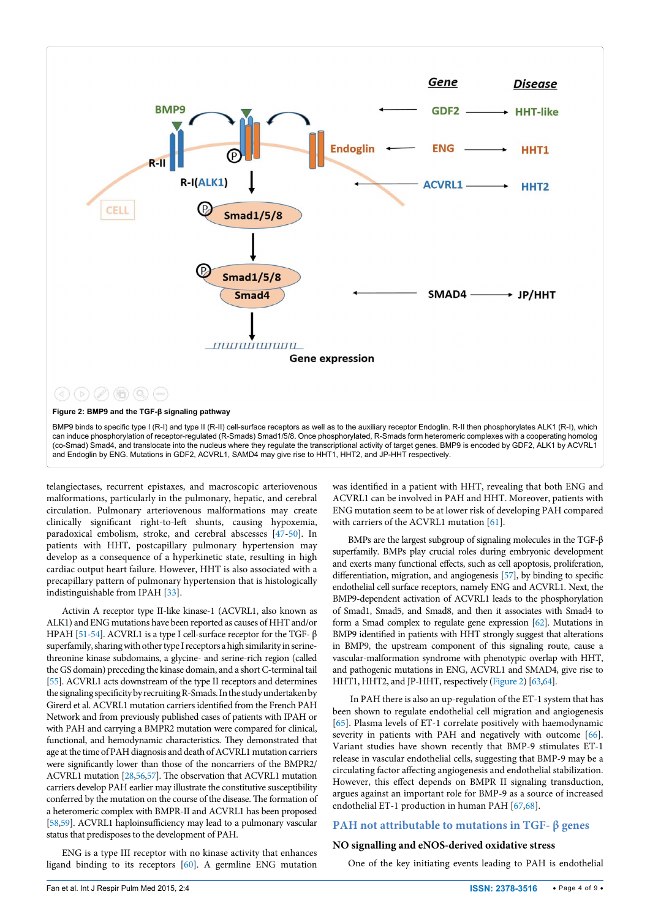<span id="page-3-0"></span>

telangiectases, recurrent epistaxes, and macroscopic arteriovenous malformations, particularly in the pulmonary, hepatic, and cerebral circulation. Pulmonary arteriovenous malformations may create clinically significant right-to-left shunts, causing hypoxemia, paradoxical embolism, stroke, and cerebral abscesses [\[47](#page-6-43)[-50\]](#page-7-18). In patients with HHT, postcapillary pulmonary hypertension may develop as a consequence of a hyperkinetic state, resulting in high cardiac output heart failure. However, HHT is also associated with a precapillary pattern of pulmonary hypertension that is histologically indistinguishable from IPAH [[33\]](#page-6-29).

Activin A receptor type II-like kinase-1 (ACVRL1, also known as ALK1) and ENG mutations have been reported as causes of HHT and/or HPAH [\[51](#page-7-19)[-54](#page-7-20)]. ACVRL1 is a type I cell-surface receptor for the TGF- β superfamily, sharing with other type I receptors a high similarity in serinethreonine kinase subdomains, a glycine- and serine-rich region (called the GS domain) preceding the kinase domain, and a short C-terminal tail [\[55\]](#page-7-21). ACVRL1 acts downstream of the type II receptors and determines the signaling specificity by recruiting R-Smads. In the study undertaken by Girerd et al. ACVRL1 mutation carriers identified from the French PAH Network and from previously published cases of patients with IPAH or with PAH and carrying a BMPR2 mutation were compared for clinical, functional, and hemodynamic characteristics. They demonstrated that age at the time of PAH diagnosis and death of ACVRL1 mutation carriers were significantly lower than those of the noncarriers of the BMPR2/ ACVRL1 mutation [\[28](#page-6-24)[,56,](#page-7-22)[57\]](#page-7-5). The observation that ACVRL1 mutation carriers develop PAH earlier may illustrate the constitutive susceptibility conferred by the mutation on the course of the disease. The formation of a heteromeric complex with BMPR-II and ACVRL1 has been proposed [\[58,](#page-7-6)[59\]](#page-7-7). ACVRL1 haploinsufficiency may lead to a pulmonary vascular status that predisposes to the development of PAH.

ENG is a type III receptor with no kinase activity that enhances ligand binding to its receptors [\[60](#page-7-23)]. A germline ENG mutation was identified in a patient with HHT, revealing that both ENG and ACVRL1 can be involved in PAH and HHT. Moreover, patients with ENG mutation seem to be at lower risk of developing PAH compared with carriers of the ACVRL1 mutation [[61\]](#page-7-0).

BMPs are the largest subgroup of signaling molecules in the TGF-β superfamily. BMPs play crucial roles during embryonic development and exerts many functional effects, such as cell apoptosis, proliferation, differentiation, migration, and angiogenesis [\[57](#page-7-5)], by binding to specific endothelial cell surface receptors, namely ENG and ACVRL1. Next, the BMP9-dependent activation of ACVRL1 leads to the phosphorylation of Smad1, Smad5, and Smad8, and then it associates with Smad4 to form a Smad complex to regulate gene expression [\[62\]](#page-7-1). Mutations in BMP9 identified in patients with HHT strongly suggest that alterations in BMP9, the upstream component of this signaling route, cause a vascular-malformation syndrome with phenotypic overlap with HHT, and pathogenic mutations in ENG, ACVRL1 and SMAD4, give rise to HHT1, HHT2, and JP-HHT, respectively [\(Figure 2\)](#page-3-0) [\[63](#page-7-24)[,64\]](#page-7-25).

 In PAH there is also an up-regulation of the ET-1 system that has been shown to regulate endothelial cell migration and angiogenesis [[65](#page-7-2)]. Plasma levels of ET-1 correlate positively with haemodynamic severity in patients with PAH and negatively with outcome [[66\]](#page-7-3). Variant studies have shown recently that BMP-9 stimulates ET-1 release in vascular endothelial cells, suggesting that BMP-9 may be a circulating factor affecting angiogenesis and endothelial stabilization. However, this effect depends on BMPR II signaling transduction, argues against an important role for BMP-9 as a source of increased endothelial ET-1 production in human PAH [[67](#page-7-26)[,68\]](#page-7-27).

## **PAH not attributable to mutations in TGF- β genes**

#### **NO signalling and eNOS-derived oxidative stress**

One of the key initiating events leading to PAH is endothelial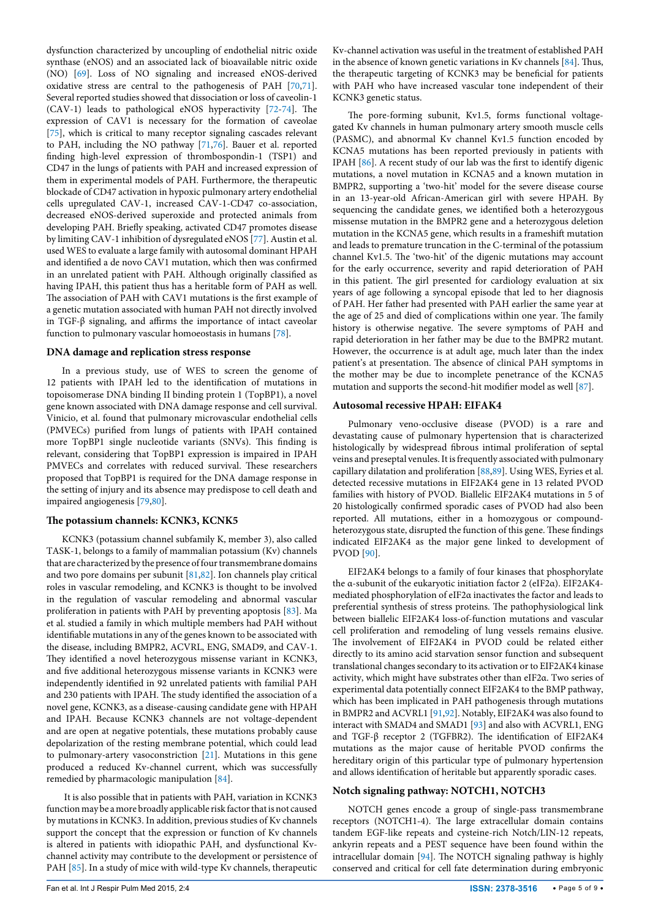dysfunction characterized by uncoupling of endothelial nitric oxide synthase (eNOS) and an associated lack of bioavailable nitric oxide (NO) [[69](#page-7-28)]. Loss of NO signaling and increased eNOS-derived oxidative stress are central to the pathogenesis of PAH [\[70,](#page-7-29)[71](#page-7-30)]. Several reported studies showed that dissociation or loss of caveolin-1 (CAV-1) leads to pathological eNOS hyperactivity [\[72](#page-7-31)[-74\]](#page-7-8). The expression of CAV1 is necessary for the formation of caveolae [[75](#page-7-32)], which is critical to many receptor signaling cascades relevant to PAH, including the NO pathway [[71](#page-7-30)[,76\]](#page-7-9). Bauer et al. reported finding high-level expression of thrombospondin-1 (TSP1) and CD47 in the lungs of patients with PAH and increased expression of them in experimental models of PAH. Furthermore, the therapeutic blockade of CD47 activation in hypoxic pulmonary artery endothelial cells upregulated CAV-1, increased CAV-1-CD47 co-association, decreased eNOS-derived superoxide and protected animals from developing PAH. Briefly speaking, activated CD47 promotes disease by limiting CAV-1 inhibition of dysregulated eNOS [\[77\]](#page-7-10). Austin et al. used WES to evaluate a large family with autosomal dominant HPAH and identified a de novo CAV1 mutation, which then was confirmed in an unrelated patient with PAH. Although originally classified as having IPAH, this patient thus has a heritable form of PAH as well. The association of PAH with CAV1 mutations is the first example of a genetic mutation associated with human PAH not directly involved in TGF-β signaling, and affirms the importance of intact caveolar function to pulmonary vascular homoeostasis in humans [\[78\]](#page-7-11).

#### **DNA damage and replication stress response**

In a previous study, use of WES to screen the genome of 12 patients with IPAH led to the identification of mutations in topoisomerase DNA binding II binding protein 1 (TopBP1), a novel gene known associated with DNA damage response and cell survival. Vinicio, et al. found that pulmonary microvascular endothelial cells (PMVECs) purified from lungs of patients with IPAH contained more TopBP1 single nucleotide variants (SNVs). This finding is relevant, considering that TopBP1 expression is impaired in IPAH PMVECs and correlates with reduced survival. These researchers proposed that TopBP1 is required for the DNA damage response in the setting of injury and its absence may predispose to cell death and impaired angiogenesis [\[79](#page-7-33)[,80\]](#page-7-34).

#### **The potassium channels: KCNK3, KCNK5**

KCNK3 (potassium channel subfamily K, member 3), also called TASK-1, belongs to a family of mammalian potassium (Kv) channels that are characterized by the presence of four transmembrane domains and two pore domains per subunit [\[81,](#page-7-35)[82](#page-7-13)]. Ion channels play critical roles in vascular remodeling, and KCNK3 is thought to be involved in the regulation of vascular remodeling and abnormal vascular proliferation in patients with PAH by preventing apoptosis [\[83](#page-7-14)]. Ma et al. studied a family in which multiple members had PAH without identifiable mutations in any of the genes known to be associated with the disease, including BMPR2, ACVRL, ENG, SMAD9, and CAV-1. They identified a novel heterozygous missense variant in KCNK3, and five additional heterozygous missense variants in KCNK3 were independently identified in 92 unrelated patients with familial PAH and 230 patients with IPAH. The study identified the association of a novel gene, KCNK3, as a disease-causing candidate gene with HPAH and IPAH. Because KCNK3 channels are not voltage-dependent and are open at negative potentials, these mutations probably cause depolarization of the resting membrane potential, which could lead to pulmonary-artery vasoconstriction [[21](#page-6-17)]. Mutations in this gene produced a reduced Kv-channel current, which was successfully remedied by pharmacologic manipulation [\[84](#page-7-12)].

 It is also possible that in patients with PAH, variation in KCNK3 function may be a more broadly applicable risk factor that is not caused by mutations in KCNK3. In addition, previous studies of Kv channels support the concept that the expression or function of Kv channels is altered in patients with idiopathic PAH, and dysfunctional Kvchannel activity may contribute to the development or persistence of PAH [[85](#page-7-36)]. In a study of mice with wild-type Kv channels, therapeutic Kv-channel activation was useful in the treatment of established PAH in the absence of known genetic variations in Kv channels [\[84\]](#page-7-12). Thus, the therapeutic targeting of KCNK3 may be beneficial for patients with PAH who have increased vascular tone independent of their KCNK3 genetic status.

The pore-forming subunit, Kv1.5, forms functional voltagegated Kv channels in human pulmonary artery smooth muscle cells (PASMC), and abnormal Kv channel Kv1.5 function encoded by KCNA5 mutations has been reported previously in patients with IPAH [\[86](#page-7-16)]. A recent study of our lab was the first to identify digenic mutations, a novel mutation in KCNA5 and a known mutation in BMPR2, supporting a 'two-hit' model for the severe disease course in an 13-year-old African-American girl with severe HPAH. By sequencing the candidate genes, we identified both a heterozygous missense mutation in the BMPR2 gene and a heterozygous deletion mutation in the KCNA5 gene, which results in a frameshift mutation and leads to premature truncation in the C-terminal of the potassium channel Kv1.5. The 'two-hit' of the digenic mutations may account for the early occurrence, severity and rapid deterioration of PAH in this patient. The girl presented for cardiology evaluation at six years of age following a syncopal episode that led to her diagnosis of PAH. Her father had presented with PAH earlier the same year at the age of 25 and died of complications within one year. The family history is otherwise negative. The severe symptoms of PAH and rapid deterioration in her father may be due to the BMPR2 mutant. However, the occurrence is at adult age, much later than the index patient's at presentation. The absence of clinical PAH symptoms in the mother may be due to incomplete penetrance of the KCNA5 mutation and supports the second-hit modifier model as well [\[87\]](#page-7-37).

#### **Autosomal recessive HPAH: EIFAK4**

Pulmonary veno-occlusive disease (PVOD) is a rare and devastating cause of pulmonary hypertension that is characterized histologically by widespread fibrous intimal proliferation of septal veins and preseptal venules. It is frequently associated with pulmonary capillary dilatation and proliferation [\[88,](#page-7-17)[89\]](#page-7-38). Using WES, Eyries et al. detected recessive mutations in EIF2AK4 gene in 13 related PVOD families with history of PVOD. Biallelic EIF2AK4 mutations in 5 of 20 histologically confirmed sporadic cases of PVOD had also been reported. All mutations, either in a homozygous or compoundheterozygous state, disrupted the function of this gene. These findings indicated EIF2AK4 as the major gene linked to development of PVOD [[90](#page-7-39)].

EIF2AK4 belongs to a family of four kinases that phosphorylate the α-subunit of the eukaryotic initiation factor 2 (eIF2α). EIF2AK4 mediated phosphorylation of eIF2α inactivates the factor and leads to preferential synthesis of stress proteins. The pathophysiological link between biallelic EIF2AK4 loss-of-function mutations and vascular cell proliferation and remodeling of lung vessels remains elusive. The involvement of EIF2AK4 in PVOD could be related either directly to its amino acid starvation sensor function and subsequent translational changes secondary to its activation or to EIF2AK4 kinase activity, which might have substrates other than eIF2α. Two series of experimental data potentially connect EIF2AK4 to the BMP pathway, which has been implicated in PAH pathogenesis through mutations in BMPR2 and ACVRL1 [[91,](#page-7-40)[92](#page-7-41)]. Notably, EIF2AK4 was also found to interact with SMAD4 and SMAD1 [[93\]](#page-7-42) and also with ACVRL1, ENG and TGF-β receptor 2 (TGFBR2). The identification of EIF2AK4 mutations as the major cause of heritable PVOD confirms the hereditary origin of this particular type of pulmonary hypertension and allows identification of heritable but apparently sporadic cases.

# **Notch signaling pathway: NOTCH1, NOTCH3**

NOTCH genes encode a group of single-pass transmembrane receptors (NOTCH1-4). The large extracellular domain contains tandem EGF-like repeats and cysteine-rich Notch/LIN-12 repeats, ankyrin repeats and a PEST sequence have been found within the intracellular domain [\[94\]](#page-7-43). The NOTCH signaling pathway is highly conserved and critical for cell fate determination during embryonic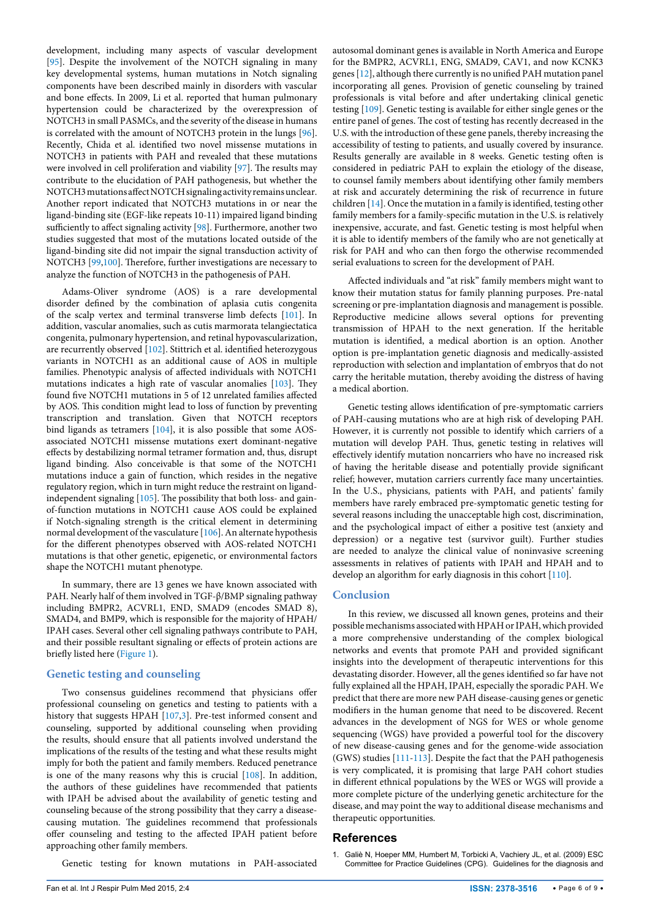development, including many aspects of vascular development [[95](#page-7-44)]. Despite the involvement of the NOTCH signaling in many key developmental systems, human mutations in Notch signaling components have been described mainly in disorders with vascular and bone effects. In 2009, Li et al. reported that human pulmonary hypertension could be characterized by the overexpression of NOTCH3 in small PASMCs, and the severity of the disease in humans is correlated with the amount of NOTCH3 protein in the lungs [[96](#page-7-15)]. Recently, Chida et al. identified two novel missense mutations in NOTCH3 in patients with PAH and revealed that these mutations were involved in cell proliferation and viability [[97](#page-8-3)]. The results may contribute to the elucidation of PAH pathogenesis, but whether the NOTCH3 mutations affect NOTCH signaling activity remains unclear. Another report indicated that NOTCH3 mutations in or near the ligand-binding site (EGF-like repeats 10-11) impaired ligand binding sufficiently to affect signaling activity [\[98](#page-8-4)]. Furthermore, another two studies suggested that most of the mutations located outside of the ligand-binding site did not impair the signal transduction activity of NOTCH3 [[99,](#page-8-2)[100\]](#page-8-5). Therefore, further investigations are necessary to analyze the function of NOTCH3 in the pathogenesis of PAH.

Adams-Oliver syndrome (AOS) is a rare developmental disorder defined by the combination of aplasia cutis congenita of the scalp vertex and terminal transverse limb defects [[101\]](#page-8-6). In addition, vascular anomalies, such as cutis marmorata telangiectatica congenita, pulmonary hypertension, and retinal hypovascularization, are recurrently observed [[102\]](#page-8-0). Stittrich et al. identified heterozygous variants in NOTCH1 as an additional cause of AOS in multiple families. Phenotypic analysis of affected individuals with NOTCH1 mutations indicates a high rate of vascular anomalies [\[103](#page-8-7)]. They found five NOTCH1 mutations in 5 of 12 unrelated families affected by AOS. This condition might lead to loss of function by preventing transcription and translation. Given that NOTCH receptors bind ligands as tetramers [\[104](#page-8-8)], it is also possible that some AOSassociated NOTCH1 missense mutations exert dominant-negative effects by destabilizing normal tetramer formation and, thus, disrupt ligand binding. Also conceivable is that some of the NOTCH1 mutations induce a gain of function, which resides in the negative regulatory region, which in turn might reduce the restraint on ligandindependent signaling [[105\]](#page-8-1). The possibility that both loss- and gainof-function mutations in NOTCH1 cause AOS could be explained if Notch-signaling strength is the critical element in determining normal development of the vasculature [\[106](#page-8-9)]. An alternate hypothesis for the different phenotypes observed with AOS-related NOTCH1 mutations is that other genetic, epigenetic, or environmental factors shape the NOTCH1 mutant phenotype.

In summary, there are 13 genes we have known associated with PAH. Nearly half of them involved in TGF-β/BMP signaling pathway including BMPR2, ACVRL1, END, SMAD9 (encodes SMAD 8), SMAD4, and BMP9, which is responsible for the majority of HPAH/ IPAH cases. Several other cell signaling pathways contribute to PAH, and their possible resultant signaling or effects of protein actions are briefly listed here ([Figure 1\)](#page-2-0).

# **Genetic testing and counseling**

Two consensus guidelines recommend that physicians offer professional counseling on genetics and testing to patients with a history that suggests HPAH [\[107](#page-8-10)[,3\]](#page-6-1). Pre-test informed consent and counseling, supported by additional counseling when providing the results, should ensure that all patients involved understand the implications of the results of the testing and what these results might imply for both the patient and family members. Reduced penetrance is one of the many reasons why this is crucial [[108\]](#page-8-11). In addition, the authors of these guidelines have recommended that patients with IPAH be advised about the availability of genetic testing and counseling because of the strong possibility that they carry a diseasecausing mutation. The guidelines recommend that professionals offer counseling and testing to the affected IPAH patient before approaching other family members.

Genetic testing for known mutations in PAH-associated

autosomal dominant genes is available in North America and Europe for the BMPR2, ACVRL1, ENG, SMAD9, CAV1, and now KCNK3 genes [\[12](#page-6-8)], although there currently is no unified PAH mutation panel incorporating all genes. Provision of genetic counseling by trained professionals is vital before and after undertaking clinical genetic testing [[109\]](#page-8-12). Genetic testing is available for either single genes or the entire panel of genes. The cost of testing has recently decreased in the U.S. with the introduction of these gene panels, thereby increasing the accessibility of testing to patients, and usually covered by insurance. Results generally are available in 8 weeks. Genetic testing often is considered in pediatric PAH to explain the etiology of the disease, to counsel family members about identifying other family members at risk and accurately determining the risk of recurrence in future children [[14](#page-6-10)]. Once the mutation in a family is identified, testing other family members for a family-specific mutation in the U.S. is relatively inexpensive, accurate, and fast. Genetic testing is most helpful when it is able to identify members of the family who are not genetically at risk for PAH and who can then forgo the otherwise recommended serial evaluations to screen for the development of PAH.

Affected individuals and "at risk" family members might want to know their mutation status for family planning purposes. Pre-natal screening or pre-implantation diagnosis and management is possible. Reproductive medicine allows several options for preventing transmission of HPAH to the next generation. If the heritable mutation is identified, a medical abortion is an option. Another option is pre-implantation genetic diagnosis and medically-assisted reproduction with selection and implantation of embryos that do not carry the heritable mutation, thereby avoiding the distress of having a medical abortion.

Genetic testing allows identification of pre-symptomatic carriers of PAH-causing mutations who are at high risk of developing PAH. However, it is currently not possible to identify which carriers of a mutation will develop PAH. Thus, genetic testing in relatives will effectively identify mutation noncarriers who have no increased risk of having the heritable disease and potentially provide significant relief; however, mutation carriers currently face many uncertainties. In the U.S., physicians, patients with PAH, and patients' family members have rarely embraced pre-symptomatic genetic testing for several reasons including the unacceptable high cost, discrimination, and the psychological impact of either a positive test (anxiety and depression) or a negative test (survivor guilt). Further studies are needed to analyze the clinical value of noninvasive screening assessments in relatives of patients with IPAH and HPAH and to develop an algorithm for early diagnosis in this cohort [\[110](#page-8-13)].

# **Conclusion**

In this review, we discussed all known genes, proteins and their possible mechanisms associated with HPAH or IPAH, which provided a more comprehensive understanding of the complex biological networks and events that promote PAH and provided significant insights into the development of therapeutic interventions for this devastating disorder. However, all the genes identified so far have not fully explained all the HPAH, IPAH, especially the sporadic PAH. We predict that there are more new PAH disease-causing genes or genetic modifiers in the human genome that need to be discovered. Recent advances in the development of NGS for WES or whole genome sequencing (WGS) have provided a powerful tool for the discovery of new disease-causing genes and for the genome-wide association (GWS) studies [\[111](#page-8-14)-[113\]](#page-8-15). Despite the fact that the PAH pathogenesis is very complicated, it is promising that large PAH cohort studies in different ethnical populations by the WES or WGS will provide a more complete picture of the underlying genetic architecture for the disease, and may point the way to additional disease mechanisms and therapeutic opportunities.

## **References**

<span id="page-5-0"></span>1. [Galiè N, Hoeper MM, Humbert M, Torbicki A, Vachiery JL, et al. \(2009\) ESC](http://eurheartj.oxfordjournals.org/content/ehj/30/20/2493.full.pdf)  [Committee for Practice Guidelines \(CPG\). Guidelines for the diagnosis and](http://eurheartj.oxfordjournals.org/content/ehj/30/20/2493.full.pdf)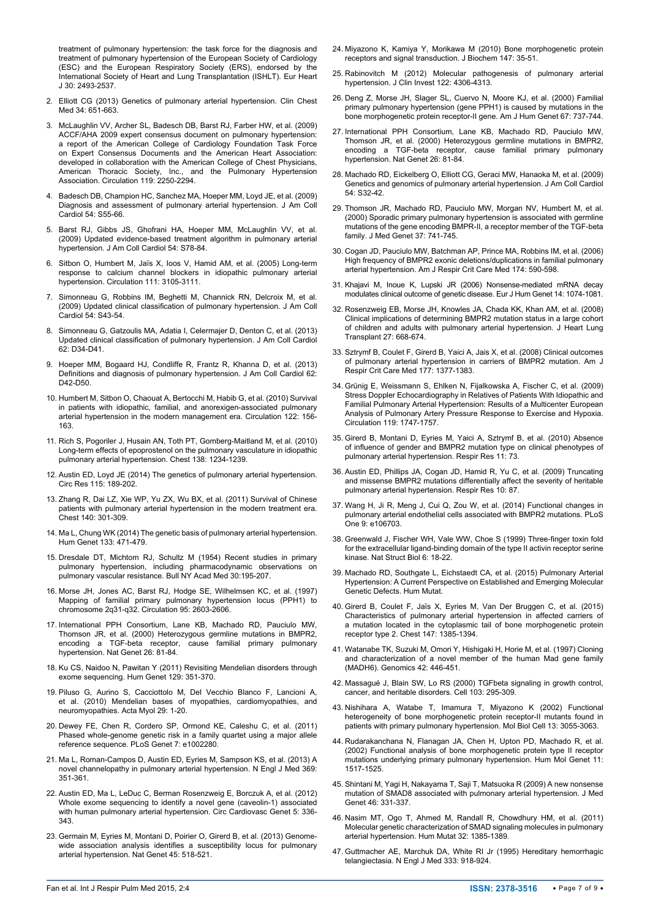[treatment of pulmonary hypertension: the task force for the diagnosis and](http://eurheartj.oxfordjournals.org/content/ehj/30/20/2493.full.pdf)  [treatment of pulmonary hypertension of the European Society of Cardiology](http://eurheartj.oxfordjournals.org/content/ehj/30/20/2493.full.pdf)  [\(ESC\) and the European Respiratory Society \(ERS\), endorsed by the](http://eurheartj.oxfordjournals.org/content/ehj/30/20/2493.full.pdf)  International Society of Heart and Lung Transplantation (ISHLT). Eur Heart [J 30: 2493-2537.](http://eurheartj.oxfordjournals.org/content/ehj/30/20/2493.full.pdf)

- <span id="page-6-0"></span>2. [Elliott CG \(2013\) Genetics of pulmonary arterial hypertension. Clin Chest](http://www.ncbi.nlm.nih.gov/pubmed/24267296)  [Med 34: 651-663.](http://www.ncbi.nlm.nih.gov/pubmed/24267296)
- <span id="page-6-1"></span>3. [McLaughlin VV, Archer SL, Badesch DB, Barst RJ, Farber HW, et al. \(2009\)](http://www.ncbi.nlm.nih.gov/pubmed/19332472)  [ACCF/AHA 2009 expert consensus document on pulmonary hypertension:](http://www.ncbi.nlm.nih.gov/pubmed/19332472)  [a report of the American College of Cardiology Foundation Task Force](http://www.ncbi.nlm.nih.gov/pubmed/19332472)  [on Expert Consensus Documents and the American Heart Association:](http://www.ncbi.nlm.nih.gov/pubmed/19332472)  [developed in collaboration with the American College of Chest Physicians,](http://www.ncbi.nlm.nih.gov/pubmed/19332472)  [American Thoracic Society, Inc., and the Pulmonary Hypertension](http://www.ncbi.nlm.nih.gov/pubmed/19332472)  [Association. Circulation 119: 2250-2294.](http://www.ncbi.nlm.nih.gov/pubmed/19332472)
- 4. [Badesch DB, Champion HC, Sanchez MA, Hoeper MM, Loyd JE, et al. \(2009\)](http://www.ncbi.nlm.nih.gov/pubmed/19555859)  [Diagnosis and assessment of pulmonary arterial hypertension. J Am Coll](http://www.ncbi.nlm.nih.gov/pubmed/19555859)  [Cardiol 54: S55-66.](http://www.ncbi.nlm.nih.gov/pubmed/19555859)
- 5. [Barst RJ, Gibbs JS, Ghofrani HA, Hoeper MM, McLaughlin VV, et al.](http://www.ncbi.nlm.nih.gov/pubmed/19555861)  [\(2009\) Updated evidence-based treatment algorithm in pulmonary arterial](http://www.ncbi.nlm.nih.gov/pubmed/19555861)  [hypertension. J Am Coll Cardiol 54: S78-84.](http://www.ncbi.nlm.nih.gov/pubmed/19555861)
- <span id="page-6-2"></span>6. [Sitbon O, Humbert M, Jaïs X, Ioos V, Hamid AM, et al. \(2005\) Long-term](http://www.ncbi.nlm.nih.gov/pubmed/15939821)  [response to calcium channel blockers in idiopathic pulmonary arterial](http://www.ncbi.nlm.nih.gov/pubmed/15939821)  [hypertension. Circulation 111: 3105-3111.](http://www.ncbi.nlm.nih.gov/pubmed/15939821)
- <span id="page-6-3"></span>7. [Simonneau G, Robbins IM, Beghetti M, Channick RN, Delcroix M, et al.](http://www.ncbi.nlm.nih.gov/pubmed/19555858)  [\(2009\) Updated clinical classification of pulmonary hypertension. J Am Coll](http://www.ncbi.nlm.nih.gov/pubmed/19555858)  [Cardiol 54: S43-54.](http://www.ncbi.nlm.nih.gov/pubmed/19555858)
- <span id="page-6-4"></span>8. [Simonneau G, Gatzoulis MA, Adatia I, Celermajer D, Denton C, et al. \(2013\)](http://www.ncbi.nlm.nih.gov/pubmed/24355639)  [Updated clinical classification of pulmonary hypertension. J Am Coll Cardiol](http://www.ncbi.nlm.nih.gov/pubmed/24355639) [62: D34-D41.](http://www.ncbi.nlm.nih.gov/pubmed/24355639)
- <span id="page-6-5"></span>9. [Hoeper MM, Bogaard HJ, Condliffe R, Frantz R, Khanna D, et al. \(2013\)](http://www.ncbi.nlm.nih.gov/pubmed/24355641)  [Definitions and diagnosis of pulmonary hypertension. J Am Coll Cardiol 62:](http://www.ncbi.nlm.nih.gov/pubmed/24355641)  [D42-D50.](http://www.ncbi.nlm.nih.gov/pubmed/24355641)
- <span id="page-6-6"></span>10. [Humbert M, Sitbon O, Chaouat A, Bertocchi M, Habib G, et al. \(2010\) Survival](http://www.ncbi.nlm.nih.gov/pubmed/20585011)  [in patients with idiopathic, familial, and anorexigen-associated pulmonary](http://www.ncbi.nlm.nih.gov/pubmed/20585011)  [arterial hypertension in the modern management era. Circulation 122: 156-](http://www.ncbi.nlm.nih.gov/pubmed/20585011) [163.](http://www.ncbi.nlm.nih.gov/pubmed/20585011)
- <span id="page-6-7"></span>11. [Rich S, Pogoriler J, Husain AN, Toth PT, Gomberg-Maitland M, et al. \(2010\)](http://www.ncbi.nlm.nih.gov/pubmed/21051399)  [Long-term effects of epoprostenol on the pulmonary vasculature in idiopathic](http://www.ncbi.nlm.nih.gov/pubmed/21051399)  [pulmonary arterial hypertension. Chest 138: 1234-1239.](http://www.ncbi.nlm.nih.gov/pubmed/21051399)
- <span id="page-6-8"></span>12. [Austin ED, Loyd JE \(2014\) The genetics of pulmonary arterial hypertension.](http://www.ncbi.nlm.nih.gov/pubmed/24951767)  [Circ Res 115: 189-202.](http://www.ncbi.nlm.nih.gov/pubmed/24951767)
- <span id="page-6-9"></span>13. [Zhang R, Dai LZ, Xie WP, Yu ZX, Wu BX, et al. \(2011\) Survival of Chinese](http://www.ncbi.nlm.nih.gov/pubmed/21330386)  [patients with pulmonary arterial hypertension in the modern treatment era.](http://www.ncbi.nlm.nih.gov/pubmed/21330386)  [Chest 140: 301-309.](http://www.ncbi.nlm.nih.gov/pubmed/21330386)
- <span id="page-6-10"></span>14. [Ma L, Chung WK \(2014\) The genetic basis of pulmonary arterial hypertension.](http://www.ncbi.nlm.nih.gov/pubmed/24442418)  [Hum Genet 133: 471-479.](http://www.ncbi.nlm.nih.gov/pubmed/24442418)
- <span id="page-6-11"></span>15. [Dresdale DT, Michtom RJ, Schultz M \(1954\) Recent studies in primary](http://www.ncbi.nlm.nih.gov/pubmed/13141055)  [pulmonary hypertension, including pharmacodynamic observations on](http://www.ncbi.nlm.nih.gov/pubmed/13141055)  [pulmonary vascular resistance. Bull NY Acad Med 30:195-207.](http://www.ncbi.nlm.nih.gov/pubmed/13141055)
- <span id="page-6-12"></span>16. [Morse JH, Jones AC, Barst RJ, Hodge SE, Wilhelmsen KC, et al. \(1997\)](http://www.ncbi.nlm.nih.gov/pubmed/9193425)  [Mapping of familial primary pulmonary hypertension locus \(PPH1\) to](http://www.ncbi.nlm.nih.gov/pubmed/9193425)  [chromosome 2q31-q32. Circulation 95: 2603-2606.](http://www.ncbi.nlm.nih.gov/pubmed/9193425)
- <span id="page-6-13"></span>17. [International PPH Consortium, Lane KB, Machado RD, Pauciulo MW,](http://www.ncbi.nlm.nih.gov/pubmed/10973254)  [Thomson JR, et al. \(2000\) Heterozygous germline mutations in BMPR2,](http://www.ncbi.nlm.nih.gov/pubmed/10973254)  [encoding a TGF-beta receptor, cause familial primary pulmonary](http://www.ncbi.nlm.nih.gov/pubmed/10973254)  [hypertension. Nat Genet 26: 81-84.](http://www.ncbi.nlm.nih.gov/pubmed/10973254)
- <span id="page-6-14"></span>18. [Ku CS, Naidoo N, Pawitan Y \(2011\) Revisiting Mendelian disorders through](http://www.ncbi.nlm.nih.gov/pubmed/21331778)  [exome sequencing. Hum Genet 129: 351-370.](http://www.ncbi.nlm.nih.gov/pubmed/21331778)
- <span id="page-6-15"></span>19. [Piluso G, Aurino S, Cacciottolo M, Del Vecchio Blanco F, Lancioni A,](http://www.ncbi.nlm.nih.gov/pubmed/22029103)  [et al. \(2010\) Mendelian bases of myopathies, cardiomyopathies, and](http://www.ncbi.nlm.nih.gov/pubmed/22029103)  [neuromyopathies. Acta Myol 29: 1-20.](http://www.ncbi.nlm.nih.gov/pubmed/22029103)
- <span id="page-6-16"></span>20. [Dewey FE, Chen R, Cordero SP, Ormond KE, Caleshu C, et al. \(2011\)](http://www.ncbi.nlm.nih.gov/pubmed/21935354)  [Phased whole-genome genetic risk in a family quartet using a major allele](http://www.ncbi.nlm.nih.gov/pubmed/21935354)  [reference sequence. PLoS Genet 7: e1002280.](http://www.ncbi.nlm.nih.gov/pubmed/21935354)
- <span id="page-6-17"></span>21. [Ma L, Roman-Campos D, Austin ED, Eyries M, Sampson KS, et al. \(2013\) A](http://www.ncbi.nlm.nih.gov/pubmed/23883380)  [novel channelopathy in pulmonary arterial hypertension. N Engl J Med 369:](http://www.ncbi.nlm.nih.gov/pubmed/23883380)  [351-361.](http://www.ncbi.nlm.nih.gov/pubmed/23883380)
- <span id="page-6-18"></span>22. [Austin ED, Ma L, LeDuc C, Berman Rosenzweig E, Borczuk A, et al. \(2012\)](http://www.ncbi.nlm.nih.gov/pubmed/22474227)  [Whole exome sequencing to identify a novel gene \(caveolin-1\) associated](http://www.ncbi.nlm.nih.gov/pubmed/22474227)  [with human pulmonary arterial hypertension. Circ Cardiovasc Genet 5: 336-](http://www.ncbi.nlm.nih.gov/pubmed/22474227) [343.](http://www.ncbi.nlm.nih.gov/pubmed/22474227)
- <span id="page-6-19"></span>23. [Germain M, Eyries M, Montani D, Poirier O, Girerd B, et al. \(2013\) Genome](http://www.ncbi.nlm.nih.gov/pubmed/23502781)[wide association analysis identifies a susceptibility locus for pulmonary](http://www.ncbi.nlm.nih.gov/pubmed/23502781)  [arterial hypertension. Nat Genet 45: 518-521.](http://www.ncbi.nlm.nih.gov/pubmed/23502781)
- <span id="page-6-20"></span>24. [Miyazono K, Kamiya Y, Morikawa M \(2010\) Bone morphogenetic protein](http://www.ncbi.nlm.nih.gov/pubmed/19762341)  [receptors and signal transduction. J Biochem 147: 35-51.](http://www.ncbi.nlm.nih.gov/pubmed/19762341)
- <span id="page-6-21"></span>25. [Rabinovitch M \(2012\) Molecular pathogenesis of pulmonary arterial](http://www.ncbi.nlm.nih.gov/pubmed/23202738)  [hypertension. J Clin Invest 122: 4306-4313.](http://www.ncbi.nlm.nih.gov/pubmed/23202738)
- <span id="page-6-22"></span>26. [Deng Z, Morse JH, Slager SL, Cuervo N, Moore KJ, et al. \(2000\) Familial](http://www.ncbi.nlm.nih.gov/pubmed/10903931)  [primary pulmonary hypertension \(gene PPH1\) is caused by mutations in the](http://www.ncbi.nlm.nih.gov/pubmed/10903931)  [bone morphogenetic protein receptor-II gene. Am J Hum Genet 67: 737-744.](http://www.ncbi.nlm.nih.gov/pubmed/10903931)
- <span id="page-6-23"></span>27. [International PPH Consortium, Lane KB, Machado RD, Pauciulo MW,](http://www.ncbi.nlm.nih.gov/pubmed/10973254)  [Thomson JR, et al. \(2000\) Heterozygous germline mutations in BMPR2,](http://www.ncbi.nlm.nih.gov/pubmed/10973254)  [encoding a TGF-beta receptor, cause familial primary pulmonary](http://www.ncbi.nlm.nih.gov/pubmed/10973254)  [hypertension. Nat Genet 26: 81-84.](http://www.ncbi.nlm.nih.gov/pubmed/10973254)
- <span id="page-6-24"></span>28. Machado RD, Eickelberg O, Elliott CG, Geraci MW, Hanaoka M, et al. (2009) Genetics and genomics of pulmonary arterial hypertension. J Am Coll Cardiol 54: S32-42.
- <span id="page-6-25"></span>29. [Thomson JR, Machado RD, Pauciulo MW, Morgan NV, Humbert M, et al.](http://www.ncbi.nlm.nih.gov/pubmed/11015450)  [\(2000\) Sporadic primary pulmonary hypertension is associated with germline](http://www.ncbi.nlm.nih.gov/pubmed/11015450)  [mutations of the gene encoding BMPR-II, a receptor member of the TGF-beta](http://www.ncbi.nlm.nih.gov/pubmed/11015450)  [family. J Med Genet 37: 741-745.](http://www.ncbi.nlm.nih.gov/pubmed/11015450)
- <span id="page-6-26"></span>30. [Cogan JD, Pauciulo MW, Batchman AP, Prince MA, Robbins IM, et al. \(2006\)](http://www.ncbi.nlm.nih.gov/pubmed/16728714)  [High frequency of BMPR2 exonic deletions/duplications in familial pulmonary](http://www.ncbi.nlm.nih.gov/pubmed/16728714)  [arterial hypertension. Am J Respir Crit Care Med 174: 590-598.](http://www.ncbi.nlm.nih.gov/pubmed/16728714)
- <span id="page-6-27"></span>31. [Khajavi M, Inoue K, Lupski JR \(2006\) Nonsense-mediated mRNA decay](http://www.ncbi.nlm.nih.gov/pubmed/16757948)  [modulates clinical outcome of genetic disease. Eur J Hum Genet 14: 1074-1081.](http://www.ncbi.nlm.nih.gov/pubmed/16757948)
- <span id="page-6-28"></span>32. [Rosenzweig EB, Morse JH, Knowles JA, Chada KK, Khan AM, et al. \(2008\)](http://www.ncbi.nlm.nih.gov/pubmed/18503968)  [Clinical implications of determining BMPR2 mutation status in a large cohort](http://www.ncbi.nlm.nih.gov/pubmed/18503968)  [of children and adults with pulmonary arterial hypertension. J Heart Lung](http://www.ncbi.nlm.nih.gov/pubmed/18503968)  [Transplant 27: 668-674.](http://www.ncbi.nlm.nih.gov/pubmed/18503968)
- <span id="page-6-29"></span>33. [Sztrymf B, Coulet F, Girerd B, Yaici A, Jais X, et al. \(2008\) Clinical outcomes](http://www.ncbi.nlm.nih.gov/pubmed/18356561)  [of pulmonary arterial hypertension in carriers of BMPR2 mutation. Am J](http://www.ncbi.nlm.nih.gov/pubmed/18356561)  [Respir Crit Care Med 177: 1377-1383.](http://www.ncbi.nlm.nih.gov/pubmed/18356561)
- <span id="page-6-30"></span>34. Grünig E, [Weissmann S, Ehlken N,](http://www.ncbi.nlm.nih.gov/pubmed/19307479) Fijalkowska A, Fischer C, et al. (2009) [Stress Doppler Echocardiography in Relatives of Patients With Idiopathic and](http://www.ncbi.nlm.nih.gov/pubmed/19307479)  [Familial Pulmonary Arterial Hypertension: Results of a Multicenter European](http://www.ncbi.nlm.nih.gov/pubmed/19307479)  [Analysis of Pulmonary Artery Pressure Response to Exercise and Hypoxia.](http://www.ncbi.nlm.nih.gov/pubmed/19307479)  [Circulation 119: 1747-1757.](http://www.ncbi.nlm.nih.gov/pubmed/19307479)
- <span id="page-6-35"></span>35. [Girerd B, Montani D, Eyries M, Yaici A, Sztrymf B, et al. \(2010\) Absence](http://www.ncbi.nlm.nih.gov/pubmed/20534176)  [of influence of gender and BMPR2 mutation type on clinical phenotypes of](http://www.ncbi.nlm.nih.gov/pubmed/20534176)  [pulmonary arterial hypertension. Respir Res 11: 73.](http://www.ncbi.nlm.nih.gov/pubmed/20534176)
- <span id="page-6-36"></span>36. [Austin ED, Phillips JA, Cogan JD, Hamid R, Yu C, et al. \(2009\) Truncating](http://www.ncbi.nlm.nih.gov/pubmed/19785764)  [and missense BMPR2 mutations differentially affect the severity of heritable](http://www.ncbi.nlm.nih.gov/pubmed/19785764)  [pulmonary arterial hypertension. Respir Res 10: 87.](http://www.ncbi.nlm.nih.gov/pubmed/19785764)
- <span id="page-6-31"></span>37. [Wang H, Ji R, Meng J, Cui Q, Zou W, et al. \(2014\) Functional changes in](http://www.ncbi.nlm.nih.gov/pubmed/25187962)  [pulmonary arterial endothelial cells associated with BMPR2 mutations. PLoS](http://www.ncbi.nlm.nih.gov/pubmed/25187962)  [One 9: e106703.](http://www.ncbi.nlm.nih.gov/pubmed/25187962)
- <span id="page-6-37"></span>38. [Greenwald J, Fischer WH, Vale WW, Choe S \(1999\) Three-finger toxin fold](http://www.ncbi.nlm.nih.gov/pubmed/9886286)  [for the extracellular ligand-binding domain of the type II activin receptor serine](http://www.ncbi.nlm.nih.gov/pubmed/9886286)  [kinase. Nat Struct Biol 6: 18-22.](http://www.ncbi.nlm.nih.gov/pubmed/9886286)
- <span id="page-6-38"></span>39. [Machado RD, Southgate L, Eichstaedt CA, et al. \(2015\) Pulmonary Arterial](http://www.ncbi.nlm.nih.gov/pubmed/26387786)  [Hypertension: A Current Perspective on Established and Emerging Molecular](http://www.ncbi.nlm.nih.gov/pubmed/26387786)  [Genetic Defects. Hum Mutat.](http://www.ncbi.nlm.nih.gov/pubmed/26387786)
- <span id="page-6-39"></span>40. [Girerd B, Coulet F, Jaïs X, Eyries M, Van Der Bruggen C, et al. \(2015\)](http://www.ncbi.nlm.nih.gov/pubmed/25429696)  [Characteristics of pulmonary arterial hypertension in affected carriers of](http://www.ncbi.nlm.nih.gov/pubmed/25429696)  [a mutation located in the cytoplasmic tail of bone morphogenetic protein](http://www.ncbi.nlm.nih.gov/pubmed/25429696)  [receptor type 2. Chest 147: 1385-1394.](http://www.ncbi.nlm.nih.gov/pubmed/25429696)
- <span id="page-6-33"></span>41. [Watanabe TK, Suzuki M, Omori Y, Hishigaki H, Horie M, et al. \(1997\) Cloning](http://www.ncbi.nlm.nih.gov/pubmed/9205116)  [and characterization of a novel member of the human Mad gene family](http://www.ncbi.nlm.nih.gov/pubmed/9205116)  [\(MADH6\). Genomics 42: 446-451.](http://www.ncbi.nlm.nih.gov/pubmed/9205116)
- <span id="page-6-34"></span>42. [Massagué J, Blain SW, Lo RS \(2000\) TGFbeta signaling in growth control,](http://www.ncbi.nlm.nih.gov/pubmed/11057902)  [cancer, and heritable disorders. Cell 103: 295-309.](http://www.ncbi.nlm.nih.gov/pubmed/11057902)
- <span id="page-6-32"></span>43. [Nishihara A, Watabe T, Imamura T, Miyazono K \(2002\) Functional](http://www.ncbi.nlm.nih.gov/pubmed/12221115)  [heterogeneity of bone morphogenetic protein receptor-II mutants found in](http://www.ncbi.nlm.nih.gov/pubmed/12221115)  [patients with primary pulmonary hypertension. Mol Biol Cell 13: 3055-3063.](http://www.ncbi.nlm.nih.gov/pubmed/12221115)
- <span id="page-6-40"></span>44. [Rudarakanchana N, Flanagan JA, Chen H, Upton PD, Machado R, et al.](http://www.ncbi.nlm.nih.gov/pubmed/12045205)  [\(2002\) Functional analysis of bone morphogenetic protein type II receptor](http://www.ncbi.nlm.nih.gov/pubmed/12045205)  [mutations underlying primary pulmonary hypertension. Hum Mol Genet 11:](http://www.ncbi.nlm.nih.gov/pubmed/12045205)  [1517-1525.](http://www.ncbi.nlm.nih.gov/pubmed/12045205)
- <span id="page-6-41"></span>45. [Shintani M, Yagi H, Nakayama T, Saji T, Matsuoka R \(2009\) A new nonsense](http://www.ncbi.nlm.nih.gov/pubmed/19211612)  [mutation of SMAD8 associated with pulmonary arterial hypertension. J Med](http://www.ncbi.nlm.nih.gov/pubmed/19211612)  [Genet 46: 331-337.](http://www.ncbi.nlm.nih.gov/pubmed/19211612)
- <span id="page-6-42"></span>46. [Nasim MT, Ogo T, Ahmed M, Randall R, Chowdhury HM, et al. \(2011\)](http://www.ncbi.nlm.nih.gov/pubmed/21898662)  [Molecular genetic characterization of SMAD signaling molecules in pulmonary](http://www.ncbi.nlm.nih.gov/pubmed/21898662)  [arterial hypertension. Hum Mutat 32: 1385-1389.](http://www.ncbi.nlm.nih.gov/pubmed/21898662)
- <span id="page-6-43"></span>47. [Guttmacher AE, Marchuk DA, White RI Jr \(1995\) Hereditary hemorrhagic](http://www.ncbi.nlm.nih.gov/pubmed/7666879)  [telangiectasia. N Engl J Med 333: 918-924.](http://www.ncbi.nlm.nih.gov/pubmed/7666879)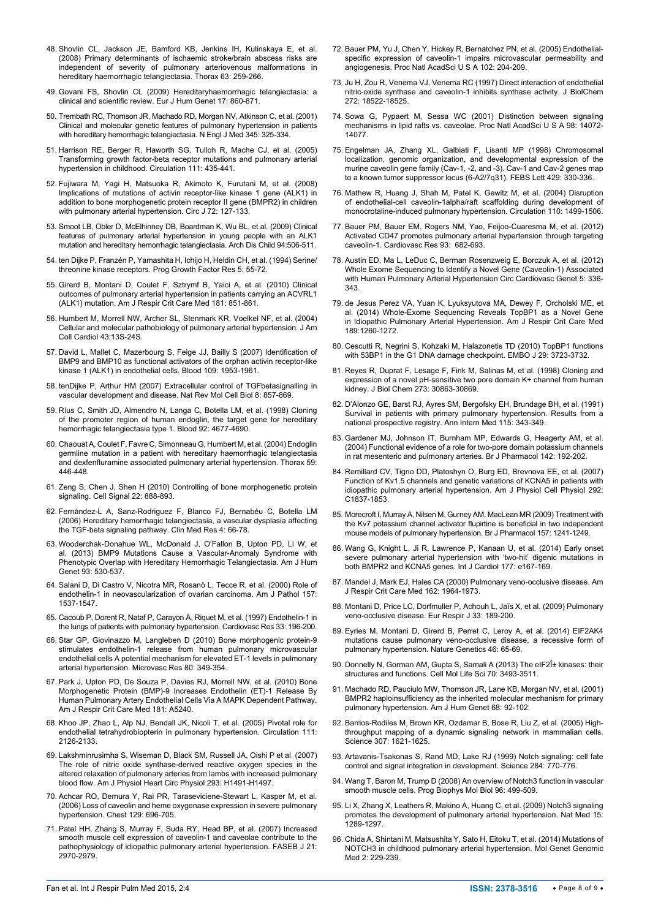- 48. [Shovlin CL, Jackson JE, Bamford KB, Jenkins IH, Kulinskaya E, et al.](http://www.ncbi.nlm.nih.gov/pubmed/17981912)  [\(2008\) Primary determinants of ischaemic stroke/brain abscess risks are](http://www.ncbi.nlm.nih.gov/pubmed/17981912)  [independent of severity of pulmonary arteriovenous malformations in](http://www.ncbi.nlm.nih.gov/pubmed/17981912)  [hereditary haemorrhagic telangiectasia. Thorax 63: 259-266.](http://www.ncbi.nlm.nih.gov/pubmed/17981912)
- 49. [Govani FS, Shovlin CL \(2009\) Hereditaryhaemorrhagic telangiectasia: a](http://www.ncbi.nlm.nih.gov/pubmed/19337313)  [clinical and scientific review. Eur J Hum Genet 17: 860-871.](http://www.ncbi.nlm.nih.gov/pubmed/19337313)
- <span id="page-7-18"></span>50. [Trembath RC, Thomson JR, Machado RD, Morgan NV, Atkinson C, et al. \(2001\)](http://www.ncbi.nlm.nih.gov/pubmed/11484689)  [Clinical and molecular genetic features of pulmonary hypertension in patients](http://www.ncbi.nlm.nih.gov/pubmed/11484689)  [with hereditary hemorrhagic telangiectasia. N Engl J Med 345: 325-334.](http://www.ncbi.nlm.nih.gov/pubmed/11484689)
- <span id="page-7-19"></span>51. [Harrison RE, Berger R, Haworth SG, Tulloh R, Mache CJ, et al. \(2005\)](http://www.ncbi.nlm.nih.gov/pubmed/15687131)  [Transforming growth factor-beta receptor mutations and pulmonary arterial](http://www.ncbi.nlm.nih.gov/pubmed/15687131)  [hypertension in childhood. Circulation 111: 435-441.](http://www.ncbi.nlm.nih.gov/pubmed/15687131)
- 52. [Fujiwara M, Yagi H, Matsuoka R, Akimoto K, Furutani M, et al. \(2008\)](http://www.ncbi.nlm.nih.gov/pubmed/18159113)  [Implications of mutations of activin receptor-like kinase 1 gene \(ALK1\) in](http://www.ncbi.nlm.nih.gov/pubmed/18159113)  [addition to bone morphogenetic protein receptor II gene \(BMPR2\) in children](http://www.ncbi.nlm.nih.gov/pubmed/18159113)  [with pulmonary arterial hypertension. Circ J 72: 127-133.](http://www.ncbi.nlm.nih.gov/pubmed/18159113)
- <span id="page-7-4"></span>53. [Smoot LB, Obler D, McElhinney DB, Boardman K, Wu BL, et al. \(2009\) Clinical](http://www.ncbi.nlm.nih.gov/pubmed/19357124)  [features of pulmonary arterial hypertension in young people with an ALK1](http://www.ncbi.nlm.nih.gov/pubmed/19357124)  [mutation and hereditary hemorrhagic telangiectasia. Arch Dis Child 94:506-511.](http://www.ncbi.nlm.nih.gov/pubmed/19357124)
- <span id="page-7-20"></span>54. [ten Dijke P, Franzén P, Yamashita H, Ichijo H, Heldin CH, et al. \(1994\) Serine/](http://www.ncbi.nlm.nih.gov/pubmed/8199354) [threonine kinase receptors. Prog Growth Factor Res 5: 55-72.](http://www.ncbi.nlm.nih.gov/pubmed/8199354)
- <span id="page-7-21"></span>55. [Girerd B, Montani D, Coulet F, Sztrymf B, Yaici A, et al. \(2010\) Clinical](http://www.ncbi.nlm.nih.gov/pubmed/20056902)  [outcomes of pulmonary arterial hypertension in patients carrying an ACVRL1](http://www.ncbi.nlm.nih.gov/pubmed/20056902)  [\(ALK1\) mutation. Am J Respir Crit Care Med 181: 851-861.](http://www.ncbi.nlm.nih.gov/pubmed/20056902)
- <span id="page-7-22"></span>56. [Humbert M, Morrell NW, Archer SL, Stenmark KR, Voelkel NF, et al. \(2004\)](http://www.ncbi.nlm.nih.gov/pubmed/15194174)  [Cellular and molecular pathobiology of pulmonary arterial hypertension. J Am](http://www.ncbi.nlm.nih.gov/pubmed/15194174)  [Coll Cardiol 43:13S-24S.](http://www.ncbi.nlm.nih.gov/pubmed/15194174)
- <span id="page-7-5"></span>57. [David L, Mallet C, Mazerbourg S, Feige JJ, Bailly S \(2007\) Identification of](http://www.ncbi.nlm.nih.gov/pubmed/17068149)  [BMP9 and BMP10 as functional activators of the orphan activin receptor-like](http://www.ncbi.nlm.nih.gov/pubmed/17068149)  [kinase 1 \(ALK1\) in endothelial cells. Blood 109: 1953-1961.](http://www.ncbi.nlm.nih.gov/pubmed/17068149)
- <span id="page-7-6"></span>58. [tenDijke P, Arthur HM \(2007\) Extracellular control of TGFbetasignalling in](http://www.ncbi.nlm.nih.gov/pubmed/17895899)  [vascular development and disease. Nat Rev Mol Cell Biol 8: 857-869.](http://www.ncbi.nlm.nih.gov/pubmed/17895899)
- <span id="page-7-7"></span>59. [Ríus C, Smith JD, Almendro N, Langa C, Botella LM, et al. \(1998\) Cloning](http://www.ncbi.nlm.nih.gov/pubmed/9845534)  [of the promoter region of human endoglin, the target gene for hereditary](http://www.ncbi.nlm.nih.gov/pubmed/9845534)  [hemorrhagic telangiectasia type 1. Blood 92: 4677-4690.](http://www.ncbi.nlm.nih.gov/pubmed/9845534)
- <span id="page-7-23"></span>60. [Chaouat A, Coulet F, Favre C, Simonneau G, Humbert M, et al. \(2004\) Endoglin](http://www.ncbi.nlm.nih.gov/pmc/articles/PMC1746994/pdf/v059p00446.pdf)  [germline mutation in a patient with hereditary haemorrhagic telangiectasia](http://www.ncbi.nlm.nih.gov/pmc/articles/PMC1746994/pdf/v059p00446.pdf)  [and dexfenfluramine associated pulmonary arterial hypertension. Thorax 59:](http://www.ncbi.nlm.nih.gov/pmc/articles/PMC1746994/pdf/v059p00446.pdf)  [446-448.](http://www.ncbi.nlm.nih.gov/pmc/articles/PMC1746994/pdf/v059p00446.pdf)
- <span id="page-7-0"></span>61. [Zeng S, Chen J, Shen H \(2010\) Controlling of bone morphogenetic protein](http://www.ncbi.nlm.nih.gov/pubmed/20060893)  [signaling. Cell Signal 22: 888-893.](http://www.ncbi.nlm.nih.gov/pubmed/20060893)
- <span id="page-7-1"></span>62. [Fernández-L A, Sanz-Rodriguez F, Blanco FJ, Bernabéu C, Botella LM](http://www.ncbi.nlm.nih.gov/pubmed/16595794)  [\(2006\) Hereditary hemorrhagic telangiectasia, a vascular dysplasia affecting](http://www.ncbi.nlm.nih.gov/pubmed/16595794)  [the TGF-beta signaling pathway. Clin Med Res 4: 66-78.](http://www.ncbi.nlm.nih.gov/pubmed/16595794)
- <span id="page-7-24"></span>63. [Wooderchak-Donahue WL,](http://www.ncbi.nlm.nih.gov/pubmed/23972370) McDonald J, O'Fallon B, Upton PD, Li W, et [al. \(2013\) BMP9 Mutations Cause a Vascular-Anomaly Syndrome with](http://www.ncbi.nlm.nih.gov/pubmed/23972370)  [Phenotypic Overlap with Hereditary Hemorrhagic Telangiectasia. Am J Hum](http://www.ncbi.nlm.nih.gov/pubmed/23972370)  [Genet 93: 530-537.](http://www.ncbi.nlm.nih.gov/pubmed/23972370)
- <span id="page-7-25"></span>64. [Salani D, Di Castro V, Nicotra MR, Rosanò L, Tecce R, et al. \(2000\) Role of](http://www.ncbi.nlm.nih.gov/pubmed/11073813)  [endothelin-1 in neovascularization of ovarian carcinoma. Am J Pathol 157:](http://www.ncbi.nlm.nih.gov/pubmed/11073813)  [1537-1547.](http://www.ncbi.nlm.nih.gov/pubmed/11073813)
- <span id="page-7-2"></span>65. Cacoub P, Dorent R, Nataf P, Carayon A, Riquet M, et al. (1997) Endothelin-1 in the lungs of patients with pulmonary hypertension. Cardiovasc Res 33: 196-200.
- <span id="page-7-3"></span>66. [Star GP, Giovinazzo M, Langleben D \(2010\) Bone morphogenic protein-9](http://www.ncbi.nlm.nih.gov/pubmed/20594999)  [stimulates endothelin-1 release from human pulmonary microvascular](http://www.ncbi.nlm.nih.gov/pubmed/20594999)  [endothelial cells A potential mechanism for elevated ET-1 levels in pulmonary](http://www.ncbi.nlm.nih.gov/pubmed/20594999)  [arterial hypertension. Microvasc Res 80: 349-354.](http://www.ncbi.nlm.nih.gov/pubmed/20594999)
- <span id="page-7-26"></span>67. Park J, Upton PD, De Souza P, Davies RJ, Morrell NW, et al. (2010) Bone Morphogenetic Protein (BMP)-9 Increases Endothelin (ET)-1 Release By Human Pulmonary Artery Endothelial Cells Via A MAPK Dependent Pathway. Am J Respir Crit Care Med 181: A5240.
- <span id="page-7-27"></span>68. [Khoo JP, Zhao L, Alp NJ, Bendall JK, Nicoli T, et al. \(2005\) Pivotal role for](http://www.ncbi.nlm.nih.gov/pubmed/15824200)  [endothelial tetrahydrobiopterin in pulmonary hypertension. Circulation 111:](http://www.ncbi.nlm.nih.gov/pubmed/15824200)  [2126-2133.](http://www.ncbi.nlm.nih.gov/pubmed/15824200)
- <span id="page-7-28"></span>69. Lakshminrusimha S, Wiseman D, Black SM, Russell JA, Oishi P et al. (2007) The role of nitric oxide synthase-derived reactive oxygen species in the altered relaxation of pulmonary arteries from lambs with increased pulmonary blood flow. Am J Physiol Heart Circ Physiol 293: H1491-H1497.
- <span id="page-7-29"></span>70. [Achcar RO, Demura Y, Rai PR, Taraseviciene-Stewart L, Kasper M, et al.](http://www.ncbi.nlm.nih.gov/pubmed/16537870)  [\(2006\) Loss of caveolin and heme oxygenase expression in severe pulmonary](http://www.ncbi.nlm.nih.gov/pubmed/16537870)  [hypertension. Chest 129: 696-705.](http://www.ncbi.nlm.nih.gov/pubmed/16537870)
- <span id="page-7-30"></span>71. [Patel HH, Zhang S, Murray F, Suda RY, Head BP, et al. \(2007\) Increased](http://www.ncbi.nlm.nih.gov/pubmed/17470567)  [smooth muscle cell expression of caveolin-1 and caveolae contribute to the](http://www.ncbi.nlm.nih.gov/pubmed/17470567)  [pathophysiology of idiopathic pulmonary arterial hypertension. FASEB J 21:](http://www.ncbi.nlm.nih.gov/pubmed/17470567)  [2970-2979.](http://www.ncbi.nlm.nih.gov/pubmed/17470567)
- <span id="page-7-31"></span>72. [Bauer PM, Yu J, Chen Y, Hickey R, Bernatchez PN, et al. \(2005\) Endothelial](http://www.ncbi.nlm.nih.gov/pubmed/15615855)[specific expression of caveolin-1 impairs microvascular permeability and](http://www.ncbi.nlm.nih.gov/pubmed/15615855)  [angiogenesis. Proc Natl AcadSci U S A 102: 204-209.](http://www.ncbi.nlm.nih.gov/pubmed/15615855)
- 73. [Ju H, Zou R, Venema VJ, Venema RC \(1997\) Direct interaction of endothelial](http://www.ncbi.nlm.nih.gov/pubmed/9228013)  [nitric-oxide synthase and caveolin-1 inhibits synthase activity. J BiolChem](http://www.ncbi.nlm.nih.gov/pubmed/9228013)  [272: 18522-18525.](http://www.ncbi.nlm.nih.gov/pubmed/9228013)
- <span id="page-7-8"></span>74. [Sowa G, Pypaert M, Sessa WC \(2001\) Distinction between signaling](http://www.ncbi.nlm.nih.gov/pubmed/11707586)  [mechanisms in lipid rafts vs. caveolae. Proc Natl AcadSci U S A 98: 14072-](http://www.ncbi.nlm.nih.gov/pubmed/11707586) [14077.](http://www.ncbi.nlm.nih.gov/pubmed/11707586)
- <span id="page-7-32"></span>75. [Engelman JA, Zhang XL, Galbiati F, Lisanti MP \(1998\) Chromosomal](http://www.ncbi.nlm.nih.gov/pubmed/9662443)  [localization, genomic organization, and developmental expression of the](http://www.ncbi.nlm.nih.gov/pubmed/9662443)  [murine caveolin gene family \(Cav-1, -2, and -3\). Cav-1 and Cav-2 genes map](http://www.ncbi.nlm.nih.gov/pubmed/9662443)  [to a known tumor suppressor locus \(6-A2/7q31\). FEBS Lett 429: 330-336.](http://www.ncbi.nlm.nih.gov/pubmed/9662443)
- <span id="page-7-9"></span>76. [Mathew R, Huang J, Shah M, Patel K, Gewitz M, et al. \(2004\) Disruption](http://www.ncbi.nlm.nih.gov/pubmed/15353500)  [of endothelial-cell caveolin-1alpha/raft scaffolding during development of](http://www.ncbi.nlm.nih.gov/pubmed/15353500)  [monocrotaline-induced pulmonary hypertension. Circulation 110: 1499-1506.](http://www.ncbi.nlm.nih.gov/pubmed/15353500)
- <span id="page-7-10"></span>77. Bauer PM, Bauer EM, Rogers NM, Yao, [Feijoo-Cuaresma M, et al. \(2012\)](http://www.ncbi.nlm.nih.gov/pubmed/22215724)  [Activated CD47 promotes pulmonary arterial hypertension through targeting](http://www.ncbi.nlm.nih.gov/pubmed/22215724)  [caveolin-1. Cardiovasc Res 93: 682-693.](http://www.ncbi.nlm.nih.gov/pubmed/22215724)
- <span id="page-7-11"></span>78. Austin ED, Ma L, LeDuc C, Berman Rosenzweig E, [Borczuk A, et al. \(2012\)](http://www.ncbi.nlm.nih.gov/pubmed/22474227)  [Whole Exome Sequencing to Identify a Novel Gene \(Caveolin-1\) Associated](http://www.ncbi.nlm.nih.gov/pubmed/22474227)  [with Human Pulmonary Arterial Hypertension Circ Cardiovasc Genet 5: 336-](http://www.ncbi.nlm.nih.gov/pubmed/22474227) [343.](http://www.ncbi.nlm.nih.gov/pubmed/22474227)
- <span id="page-7-33"></span>79. [de Jesus Perez VA,](http://www.ncbi.nlm.nih.gov/pubmed/24702692) Yuan K, Lyuksyutova MA, Dewey F, Orcholski ME, et [al. \(2014\) Whole-Exome Sequencing Reveals TopBP1 as a Novel Gene](http://www.ncbi.nlm.nih.gov/pubmed/24702692)  [in Idiopathic Pulmonary Arterial Hypertension. Am J Respir Crit Care Med](http://www.ncbi.nlm.nih.gov/pubmed/24702692)  [189:1260-1272.](http://www.ncbi.nlm.nih.gov/pubmed/24702692)
- <span id="page-7-34"></span>80. [Cescutti R, Negrini S, Kohzaki M, Halazonetis TD \(2010\) TopBP1 functions](http://www.ncbi.nlm.nih.gov/pubmed/20871591)  [with 53BP1 in the G1 DNA damage checkpoint. EMBO J 29: 3723-3732.](http://www.ncbi.nlm.nih.gov/pubmed/20871591)
- <span id="page-7-35"></span>81. [Reyes R, Duprat F, Lesage F, Fink M, Salinas M, et al. \(1998\) Cloning and](http://www.ncbi.nlm.nih.gov/pubmed/9812978)  [expression of a novel pH-sensitive two pore domain K+ channel from human](http://www.ncbi.nlm.nih.gov/pubmed/9812978)  [kidney. J Biol Chem 273: 30863-30869.](http://www.ncbi.nlm.nih.gov/pubmed/9812978)
- <span id="page-7-13"></span>82. [D'Alonzo GE, Barst RJ, Ayres SM, Bergofsky EH, Brundage BH, et al. \(1991\)](http://www.ncbi.nlm.nih.gov/pubmed/1863023)  Survival in patients with primary pulmonary hypertension. Results from a [national prospective registry. Ann Intern Med 115: 343-349.](http://www.ncbi.nlm.nih.gov/pubmed/1863023)
- <span id="page-7-14"></span>83. [Gardener MJ, Johnson IT, Burnham MP, Edwards G, Heagerty AM, et al.](http://www.ncbi.nlm.nih.gov/pubmed/15066906)  [\(2004\) Functional evidence of a role for two-pore domain potassium channels](http://www.ncbi.nlm.nih.gov/pubmed/15066906)  [in rat mesenteric and pulmonary arteries. Br J Pharmacol 142: 192-202.](http://www.ncbi.nlm.nih.gov/pubmed/15066906)
- <span id="page-7-12"></span>84. [Remillard CV, Tigno DD, Platoshyn O, Burg ED, Brevnova EE, et al. \(2007\)](http://www.ncbi.nlm.nih.gov/pubmed/17267549)  [Function of Kv1.5 channels and genetic variations of KCNA5 in patients with](http://www.ncbi.nlm.nih.gov/pubmed/17267549)  [idiopathic pulmonary arterial hypertension. Am J Physiol Cell Physiol 292:](http://www.ncbi.nlm.nih.gov/pubmed/17267549)  [C1837-1853.](http://www.ncbi.nlm.nih.gov/pubmed/17267549)
- <span id="page-7-36"></span>85. [Morecroft I, Murray A, Nilsen M, Gurney AM, MacLean MR \(2009\) Treatment with](http://www.ncbi.nlm.nih.gov/pubmed/19508393)  [the Kv7 potassium channel activator flupirtine is beneficial in two independent](http://www.ncbi.nlm.nih.gov/pubmed/19508393)  [mouse models of pulmonary hypertension. Br J Pharmacol 157: 1241-1249.](http://www.ncbi.nlm.nih.gov/pubmed/19508393)
- <span id="page-7-16"></span>86. [Wang G, Knight L, Ji R, Lawrence P, Kanaan U, et al. \(2014\) Early onset](http://www.ncbi.nlm.nih.gov/pubmed/25189502)  [severe pulmonary arterial hypertension with 'two-hit' digenic mutations in](http://www.ncbi.nlm.nih.gov/pubmed/25189502)  [both BMPR2 and KCNA5 genes. Int J Cardiol 177: e167-169.](http://www.ncbi.nlm.nih.gov/pubmed/25189502)
- <span id="page-7-37"></span>87. [Mandel J, Mark EJ, Hales CA \(2000\) Pulmonary veno-occlusive disease. Am](http://www.ncbi.nlm.nih.gov/pubmed/11069841)  [J Respir Crit Care Med 162: 1964-1973.](http://www.ncbi.nlm.nih.gov/pubmed/11069841)
- <span id="page-7-17"></span>88. [Montani D, Price LC, Dorfmuller P, Achouh L, Jaïs X, et al. \(2009\) Pulmonary](http://www.ncbi.nlm.nih.gov/pubmed/19118230)  [veno-occlusive disease. Eur Respir J 33: 189-200.](http://www.ncbi.nlm.nih.gov/pubmed/19118230)
- <span id="page-7-38"></span>89. Eyries M, Montani D, Girerd B, Perret C, [Leroy A, et al. \(2014\) EIF2AK4](http://www.ncbi.nlm.nih.gov/pubmed/24292273)  [mutations cause pulmonary veno-occlusive disease, a recessive form of](http://www.ncbi.nlm.nih.gov/pubmed/24292273)  [pulmonary hypertension. Nature Genetics 46: 65-69.](http://www.ncbi.nlm.nih.gov/pubmed/24292273)
- <span id="page-7-39"></span>90. Donnelly N, Gorman AM, Gupta S, Samali A (2013) The eIF2α kinases: their [structures and functions. Cell Mol Life Sci 70: 3493-3511.](http://www.ncbi.nlm.nih.gov/pubmed/23354059)
- <span id="page-7-40"></span>91. [Machado RD, Pauciulo MW, Thomson JR, Lane KB, Morgan NV, et al. \(2001\)](http://www.ncbi.nlm.nih.gov/pubmed/11115378)  [BMPR2 haploinsufficiency as the inherited molecular mechanism for primary](http://www.ncbi.nlm.nih.gov/pubmed/11115378)  [pulmonary hypertension. Am J Hum Genet 68: 92-102.](http://www.ncbi.nlm.nih.gov/pubmed/11115378)
- <span id="page-7-41"></span>92. [Barrios-Rodiles M, Brown KR, Ozdamar B, Bose R, Liu Z, et al. \(2005\) High](http://www.ncbi.nlm.nih.gov/pubmed/15761153)[throughput mapping of a dynamic signaling network in mammalian cells.](http://www.ncbi.nlm.nih.gov/pubmed/15761153)  [Science 307: 1621-1625.](http://www.ncbi.nlm.nih.gov/pubmed/15761153)
- <span id="page-7-42"></span>93. [Artavanis-Tsakonas S, Rand MD, Lake RJ \(1999\) Notch signaling: cell fate](http://www.ncbi.nlm.nih.gov/pubmed/10221902)  [control and signal integration in development. Science 284: 770-776.](http://www.ncbi.nlm.nih.gov/pubmed/10221902)
- <span id="page-7-43"></span>94. [Wang T, Baron M, Trump D \(2008\) An overview of Notch3 function in vascular](http://www.ncbi.nlm.nih.gov/pubmed/17854869)  [smooth muscle cells. Prog Biophys Mol Biol 96: 499-509.](http://www.ncbi.nlm.nih.gov/pubmed/17854869)
- <span id="page-7-44"></span>95. [Li X, Zhang X, Leathers R, Makino A, Huang C, et al. \(2009\) Notch3 signaling](http://www.ncbi.nlm.nih.gov/pubmed/19855400)  [promotes the development of pulmonary arterial hypertension. Nat Med 15:](http://www.ncbi.nlm.nih.gov/pubmed/19855400)  [1289-1297.](http://www.ncbi.nlm.nih.gov/pubmed/19855400)
- <span id="page-7-15"></span>96. Chida A, Shintani M, Matsushita Y, Sato H, [Eitoku T, et al. \(2014\) Mutations of](http://www.ncbi.nlm.nih.gov/pubmed/24936512)  [NOTCH3 in childhood pulmonary arterial hypertension. Mol Genet Genomic](http://www.ncbi.nlm.nih.gov/pubmed/24936512)  [Med 2: 229-239.](http://www.ncbi.nlm.nih.gov/pubmed/24936512)